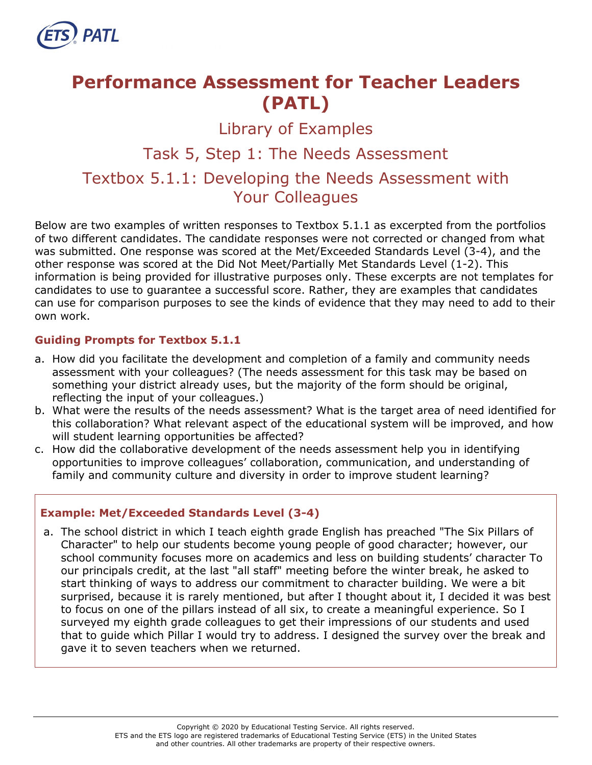

# **Performance Assessment for Teacher Leaders (PATL)**

# Library of Examples

# Task 5, Step 1: The Needs Assessment

# Textbox 5.1.1: Developing the Needs Assessment with Your Colleagues

Below are two examples of written responses to Textbox 5.1.1 as excerpted from the portfolios of two different candidates. The candidate responses were not corrected or changed from what was submitted. One response was scored at the Met/Exceeded Standards Level (3-4), and the other response was scored at the Did Not Meet/Partially Met Standards Level (1-2). This information is being provided for illustrative purposes only. These excerpts are not templates for candidates to use to guarantee a successful score. Rather, they are examples that candidates can use for comparison purposes to see the kinds of evidence that they may need to add to their own work.

#### **Guiding Prompts for Textbox 5.1.1**

- a. How did you facilitate the development and completion of a family and community needs assessment with your colleagues? (The needs assessment for this task may be based on something your district already uses, but the majority of the form should be original, reflecting the input of your colleagues.)
- b. What were the results of the needs assessment? What is the target area of need identified for this collaboration? What relevant aspect of the educational system will be improved, and how will student learning opportunities be affected?
- c. How did the collaborative development of the needs assessment help you in identifying opportunities to improve colleagues' collaboration, communication, and understanding of family and community culture and diversity in order to improve student learning?

#### **Example: Met/Exceeded Standards Level (3-4)**

a. The school district in which I teach eighth grade English has preached "The Six Pillars of Character" to help our students become young people of good character; however, our school community focuses more on academics and less on building students' character To our principals credit, at the last "all staff" meeting before the winter break, he asked to start thinking of ways to address our commitment to character building. We were a bit surprised, because it is rarely mentioned, but after I thought about it, I decided it was best to focus on one of the pillars instead of all six, to create a meaningful experience. So I surveyed my eighth grade colleagues to get their impressions of our students and used that to guide which Pillar I would try to address. I designed the survey over the break and gave it to seven teachers when we returned.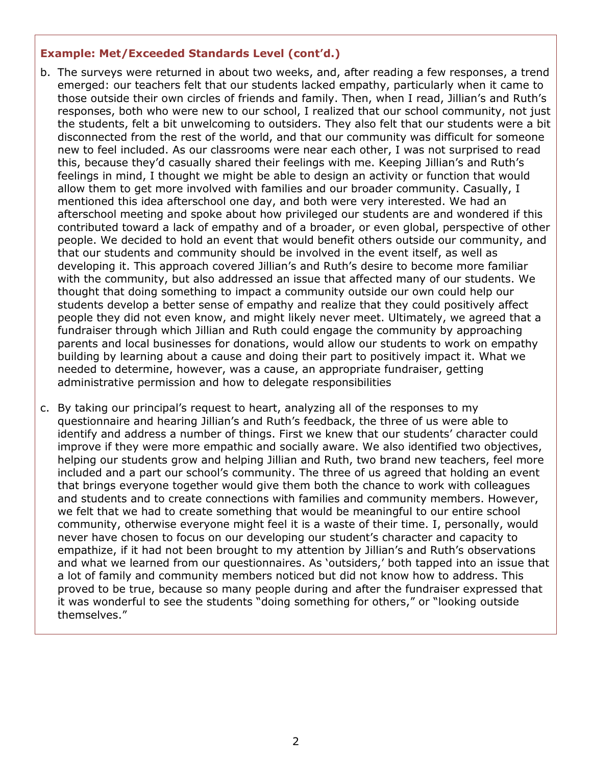#### **Example: Met/Exceeded Standards Level (cont'd.)**

- b. The surveys were returned in about two weeks, and, after reading a few responses, a trend emerged: our teachers felt that our students lacked empathy, particularly when it came to those outside their own circles of friends and family. Then, when I read, Jillian's and Ruth's responses, both who were new to our school, I realized that our school community, not just the students, felt a bit unwelcoming to outsiders. They also felt that our students were a bit disconnected from the rest of the world, and that our community was difficult for someone new to feel included. As our classrooms were near each other, I was not surprised to read this, because they'd casually shared their feelings with me. Keeping Jillian's and Ruth's feelings in mind, I thought we might be able to design an activity or function that would allow them to get more involved with families and our broader community. Casually, I mentioned this idea afterschool one day, and both were very interested. We had an afterschool meeting and spoke about how privileged our students are and wondered if this contributed toward a lack of empathy and of a broader, or even global, perspective of other people. We decided to hold an event that would benefit others outside our community, and that our students and community should be involved in the event itself, as well as developing it. This approach covered Jillian's and Ruth's desire to become more familiar with the community, but also addressed an issue that affected many of our students. We thought that doing something to impact a community outside our own could help our students develop a better sense of empathy and realize that they could positively affect people they did not even know, and might likely never meet. Ultimately, we agreed that a fundraiser through which Jillian and Ruth could engage the community by approaching parents and local businesses for donations, would allow our students to work on empathy building by learning about a cause and doing their part to positively impact it. What we needed to determine, however, was a cause, an appropriate fundraiser, getting administrative permission and how to delegate responsibilities
- c. By taking our principal's request to heart, analyzing all of the responses to my questionnaire and hearing Jillian's and Ruth's feedback, the three of us were able to identify and address a number of things. First we knew that our students' character could improve if they were more empathic and socially aware. We also identified two objectives, helping our students grow and helping Jillian and Ruth, two brand new teachers, feel more included and a part our school's community. The three of us agreed that holding an event that brings everyone together would give them both the chance to work with colleagues and students and to create connections with families and community members. However, we felt that we had to create something that would be meaningful to our entire school community, otherwise everyone might feel it is a waste of their time. I, personally, would never have chosen to focus on our developing our student's character and capacity to empathize, if it had not been brought to my attention by Jillian's and Ruth's observations and what we learned from our questionnaires. As 'outsiders,' both tapped into an issue that a lot of family and community members noticed but did not know how to address. This proved to be true, because so many people during and after the fundraiser expressed that it was wonderful to see the students "doing something for others," or "looking outside themselves."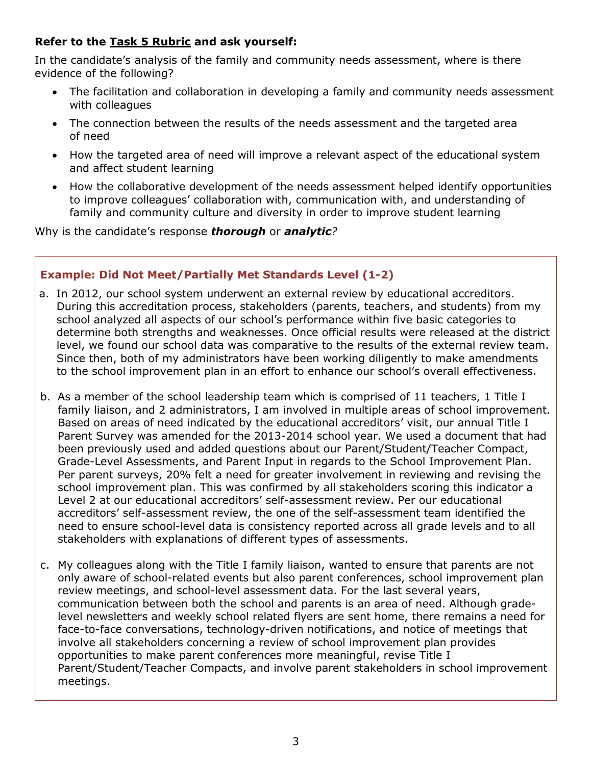### **Refer to the [Task 5](http://gace.ets.org/s/pdf/gace_teacher_leadership_assessment_task_5_rubric.pdf) Rubric and ask yourself:**

In the candidate's analysis of the family and community needs assessment, where is there evidence of the following?

- The facilitation and collaboration in developing a family and community needs assessment with colleagues
- The connection between the results of the needs assessment and the targeted area of need
- How the targeted area of need will improve a relevant aspect of the educational system and affect student learning
- How the collaborative development of the needs assessment helped identify opportunities to improve colleagues' collaboration with, communication with, and understanding of family and community culture and diversity in order to improve student learning

Why is the candidate's response *thorough* or *analytic?*

### **Example: Did Not Meet/Partially Met Standards Level (1-2)**

- a. In 2012, our school system underwent an external review by educational accreditors. During this accreditation process, stakeholders (parents, teachers, and students) from my school analyzed all aspects of our school's performance within five basic categories to determine both strengths and weaknesses. Once official results were released at the district level, we found our school data was comparative to the results of the external review team. Since then, both of my administrators have been working diligently to make amendments to the school improvement plan in an effort to enhance our school's overall effectiveness.
- b. As a member of the school leadership team which is comprised of 11 teachers, 1 Title I family liaison, and 2 administrators, I am involved in multiple areas of school improvement. Based on areas of need indicated by the educational accreditors' visit, our annual Title I Parent Survey was amended for the 2013-2014 school year. We used a document that had been previously used and added questions about our Parent/Student/Teacher Compact, Grade-Level Assessments, and Parent Input in regards to the School Improvement Plan. Per parent surveys, 20% felt a need for greater involvement in reviewing and revising the school improvement plan. This was confirmed by all stakeholders scoring this indicator a Level 2 at our educational accreditors' self-assessment review. Per our educational accreditors' self-assessment review, the one of the self-assessment team identified the need to ensure school-level data is consistency reported across all grade levels and to all stakeholders with explanations of different types of assessments.
- c. My colleagues along with the Title I family liaison, wanted to ensure that parents are not only aware of school-related events but also parent conferences, school improvement plan review meetings, and school-level assessment data. For the last several years, communication between both the school and parents is an area of need. Although gradelevel newsletters and weekly school related flyers are sent home, there remains a need for face-to-face conversations, technology-driven notifications, and notice of meetings that involve all stakeholders concerning a review of school improvement plan provides opportunities to make parent conferences more meaningful, revise Title I Parent/Student/Teacher Compacts, and involve parent stakeholders in school improvement meetings.